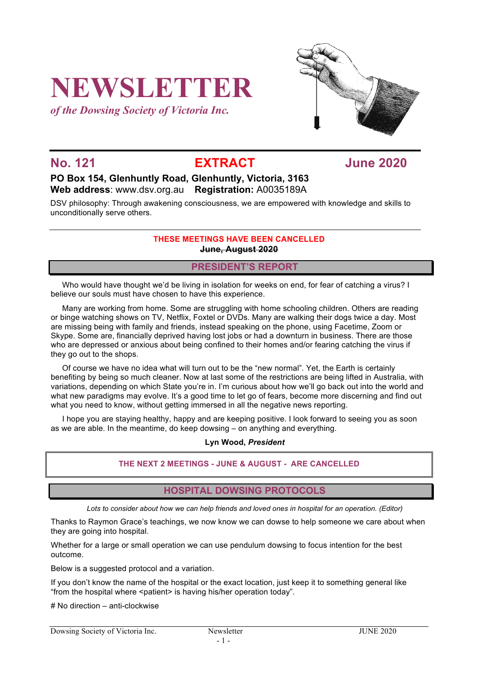# **NEWSLETTER**

*of the Dowsing Society of Victoria Inc.*



**No. 121 EXTRACT June 2020**

### **PO Box 154, Glenhuntly Road, Glenhuntly, Victoria, 3163 Web address**: www.dsv.org.au **Registration:** A0035189A

DSV philosophy: Through awakening consciousness, we are empowered with knowledge and skills to unconditionally serve others.

#### **THESE MEETINGS HAVE BEEN CANCELLED June, August 2020**

#### **PRESIDENT'S REPORT**

Who would have thought we'd be living in isolation for weeks on end, for fear of catching a virus? I believe our souls must have chosen to have this experience.

Many are working from home. Some are struggling with home schooling children. Others are reading or binge watching shows on TV, Netflix, Foxtel or DVDs. Many are walking their dogs twice a day. Most are missing being with family and friends, instead speaking on the phone, using Facetime, Zoom or Skype. Some are, financially deprived having lost jobs or had a downturn in business. There are those who are depressed or anxious about being confined to their homes and/or fearing catching the virus if they go out to the shops.

Of course we have no idea what will turn out to be the "new normal". Yet, the Earth is certainly benefiting by being so much cleaner. Now at last some of the restrictions are being lifted in Australia, with variations, depending on which State you're in. I'm curious about how we'll go back out into the world and what new paradigms may evolve. It's a good time to let go of fears, become more discerning and find out what you need to know, without getting immersed in all the negative news reporting.

I hope you are staying healthy, happy and are keeping positive. I look forward to seeing you as soon as we are able. In the meantime, do keep dowsing – on anything and everything.

#### **Lyn Wood,** *President*

#### **THE NEXT 2 MEETINGS - JUNE & AUGUST - ARE CANCELLED**

#### **HOSPITAL DOWSING PROTOCOLS**

*Lots to consider about how we can help friends and loved ones in hospital for an operation. (Editor)*

Thanks to Raymon Grace's teachings, we now know we can dowse to help someone we care about when they are going into hospital.

Whether for a large or small operation we can use pendulum dowsing to focus intention for the best outcome.

Below is a suggested protocol and a variation.

If you don't know the name of the hospital or the exact location, just keep it to something general like "from the hospital where <patient> is having his/her operation today".

# No direction – anti-clockwise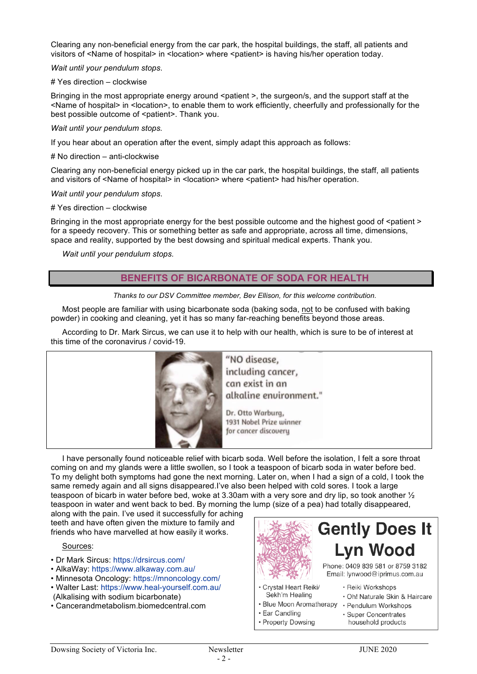Clearing any non-beneficial energy from the car park, the hospital buildings, the staff, all patients and visitors of <Name of hospital> in <location> where <patient> is having his/her operation today.

*Wait until your pendulum stops*.

# Yes direction – clockwise

Bringing in the most appropriate energy around <patient >, the surgeon/s, and the support staff at the <Name of hospital> in <location>, to enable them to work efficiently, cheerfully and professionally for the best possible outcome of <patient>. Thank you.

#### *Wait until your pendulum stops.*

If you hear about an operation after the event, simply adapt this approach as follows:

#### # No direction – anti-clockwise

Clearing any non-beneficial energy picked up in the car park, the hospital buildings, the staff, all patients and visitors of <Name of hospital> in <location> where <patient> had his/her operation.

#### *Wait until your pendulum stops*.

#### # Yes direction – clockwise

Bringing in the most appropriate energy for the best possible outcome and the highest good of <patient > for a speedy recovery. This or something better as safe and appropriate, across all time, dimensions, space and reality, supported by the best dowsing and spiritual medical experts. Thank you.

*Wait until your pendulum stops.*

#### **BENEFITS OF BICARBONATE OF SODA FOR HEALTH**

#### *Thanks to our DSV Committee member, Bev Ellison, for this welcome contribution.*

Most people are familiar with using bicarbonate soda (baking soda, not to be confused with baking powder) in cooking and cleaning, yet it has so many far-reaching benefits beyond those areas.

According to Dr. Mark Sircus, we can use it to help with our health, which is sure to be of interest at this time of the coronavirus / covid-19.



including cancer, can exist in an alkaline environment."

Dr. Otto Warburg, 1931 Nobel Prize winner for cancer discovery

I have personally found noticeable relief with bicarb soda. Well before the isolation, I felt a sore throat coming on and my glands were a little swollen, so I took a teaspoon of bicarb soda in water before bed. To my delight both symptoms had gone the next morning. Later on, when I had a sign of a cold, I took the same remedy again and all signs disappeared.I've also been helped with cold sores. I took a large teaspoon of bicarb in water before bed, woke at 3.30am with a very sore and dry lip, so took another  $\frac{1}{2}$ teaspoon in water and went back to bed. By morning the lump (size of a pea) had totally disappeared,

along with the pain. I've used it successfully for aching teeth and have often given the mixture to family and friends who have marvelled at how easily it works.

#### Sources:

- Dr Mark Sircus: https://drsircus.com/
- AlkaWay: https://www.alkaway.com.au/
- Minnesota Oncology: https://mnoncology.com/
- Walter Last: https://www.heal-yourself.com.au/
- (Alkalising with sodium bicarbonate)
- Cancerandmetabolism.biomedcentral.com



- · Reiki Workshops
- · Oh! Naturale Skin & Haircare
- · Blue Moon Aromatherapy · Pendulum Workshops
- · Ear Candling
- Property Dowsing

Sekh'm Healing

- · Super Concentrates
- household products